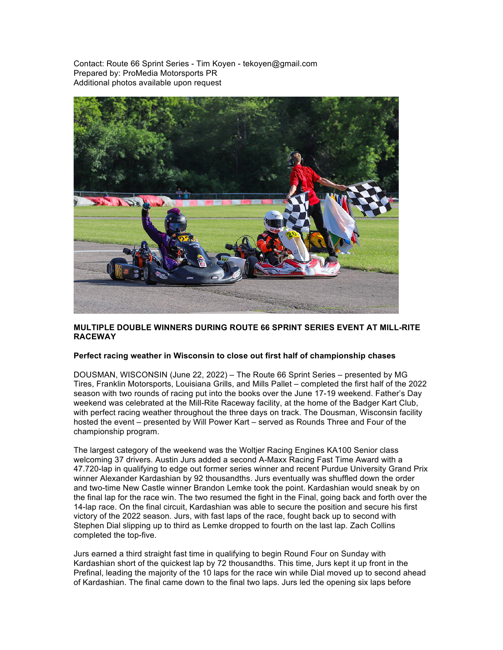Contact: Route 66 Sprint Series - Tim Koyen - tekoyen@gmail.com Prepared by: ProMedia Motorsports PR Additional photos available upon request



## **MULTIPLE DOUBLE WINNERS DURING ROUTE 66 SPRINT SERIES EVENT AT MILL-RITE RACEWAY**

## **Perfect racing weather in Wisconsin to close out first half of championship chases**

DOUSMAN, WISCONSIN (June 22, 2022) – The Route 66 Sprint Series – presented by MG Tires, Franklin Motorsports, Louisiana Grills, and Mills Pallet – completed the first half of the 2022 season with two rounds of racing put into the books over the June 17-19 weekend. Father's Day weekend was celebrated at the Mill-Rite Raceway facility, at the home of the Badger Kart Club, with perfect racing weather throughout the three days on track. The Dousman, Wisconsin facility hosted the event – presented by Will Power Kart – served as Rounds Three and Four of the championship program.

The largest category of the weekend was the Woltjer Racing Engines KA100 Senior class welcoming 37 drivers. Austin Jurs added a second A-Maxx Racing Fast Time Award with a 47.720-lap in qualifying to edge out former series winner and recent Purdue University Grand Prix winner Alexander Kardashian by 92 thousandths. Jurs eventually was shuffled down the order and two-time New Castle winner Brandon Lemke took the point. Kardashian would sneak by on the final lap for the race win. The two resumed the fight in the Final, going back and forth over the 14-lap race. On the final circuit, Kardashian was able to secure the position and secure his first victory of the 2022 season. Jurs, with fast laps of the race, fought back up to second with Stephen Dial slipping up to third as Lemke dropped to fourth on the last lap. Zach Collins completed the top-five.

Jurs earned a third straight fast time in qualifying to begin Round Four on Sunday with Kardashian short of the quickest lap by 72 thousandths. This time, Jurs kept it up front in the Prefinal, leading the majority of the 10 laps for the race win while Dial moved up to second ahead of Kardashian. The final came down to the final two laps. Jurs led the opening six laps before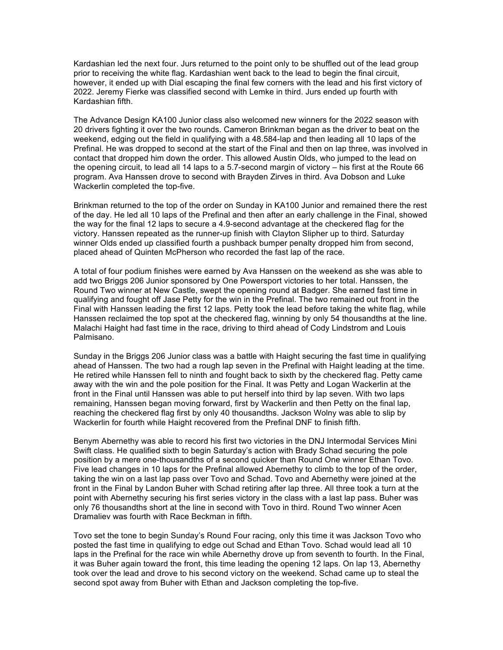Kardashian led the next four. Jurs returned to the point only to be shuffled out of the lead group prior to receiving the white flag. Kardashian went back to the lead to begin the final circuit, however, it ended up with Dial escaping the final few corners with the lead and his first victory of 2022. Jeremy Fierke was classified second with Lemke in third. Jurs ended up fourth with Kardashian fifth.

The Advance Design KA100 Junior class also welcomed new winners for the 2022 season with 20 drivers fighting it over the two rounds. Cameron Brinkman began as the driver to beat on the weekend, edging out the field in qualifying with a 48.584-lap and then leading all 10 laps of the Prefinal. He was dropped to second at the start of the Final and then on lap three, was involved in contact that dropped him down the order. This allowed Austin Olds, who jumped to the lead on the opening circuit, to lead all 14 laps to a 5.7-second margin of victory – his first at the Route 66 program. Ava Hanssen drove to second with Brayden Zirves in third. Ava Dobson and Luke Wackerlin completed the top-five.

Brinkman returned to the top of the order on Sunday in KA100 Junior and remained there the rest of the day. He led all 10 laps of the Prefinal and then after an early challenge in the Final, showed the way for the final 12 laps to secure a 4.9-second advantage at the checkered flag for the victory. Hanssen repeated as the runner-up finish with Clayton Slipher up to third. Saturday winner Olds ended up classified fourth a pushback bumper penalty dropped him from second, placed ahead of Quinten McPherson who recorded the fast lap of the race.

A total of four podium finishes were earned by Ava Hanssen on the weekend as she was able to add two Briggs 206 Junior sponsored by One Powersport victories to her total. Hanssen, the Round Two winner at New Castle, swept the opening round at Badger. She earned fast time in qualifying and fought off Jase Petty for the win in the Prefinal. The two remained out front in the Final with Hanssen leading the first 12 laps. Petty took the lead before taking the white flag, while Hanssen reclaimed the top spot at the checkered flag, winning by only 54 thousandths at the line. Malachi Haight had fast time in the race, driving to third ahead of Cody Lindstrom and Louis Palmisano.

Sunday in the Briggs 206 Junior class was a battle with Haight securing the fast time in qualifying ahead of Hanssen. The two had a rough lap seven in the Prefinal with Haight leading at the time. He retired while Hanssen fell to ninth and fought back to sixth by the checkered flag. Petty came away with the win and the pole position for the Final. It was Petty and Logan Wackerlin at the front in the Final until Hanssen was able to put herself into third by lap seven. With two laps remaining, Hanssen began moving forward, first by Wackerlin and then Petty on the final lap, reaching the checkered flag first by only 40 thousandths. Jackson Wolny was able to slip by Wackerlin for fourth while Haight recovered from the Prefinal DNF to finish fifth.

Benym Abernethy was able to record his first two victories in the DNJ Intermodal Services Mini Swift class. He qualified sixth to begin Saturday's action with Brady Schad securing the pole position by a mere one-thousandths of a second quicker than Round One winner Ethan Tovo. Five lead changes in 10 laps for the Prefinal allowed Abernethy to climb to the top of the order, taking the win on a last lap pass over Tovo and Schad. Tovo and Abernethy were joined at the front in the Final by Landon Buher with Schad retiring after lap three. All three took a turn at the point with Abernethy securing his first series victory in the class with a last lap pass. Buher was only 76 thousandths short at the line in second with Tovo in third. Round Two winner Acen Dramaliev was fourth with Race Beckman in fifth.

Tovo set the tone to begin Sunday's Round Four racing, only this time it was Jackson Tovo who posted the fast time in qualifying to edge out Schad and Ethan Tovo. Schad would lead all 10 laps in the Prefinal for the race win while Abernethy drove up from seventh to fourth. In the Final, it was Buher again toward the front, this time leading the opening 12 laps. On lap 13, Abernethy took over the lead and drove to his second victory on the weekend. Schad came up to steal the second spot away from Buher with Ethan and Jackson completing the top-five.